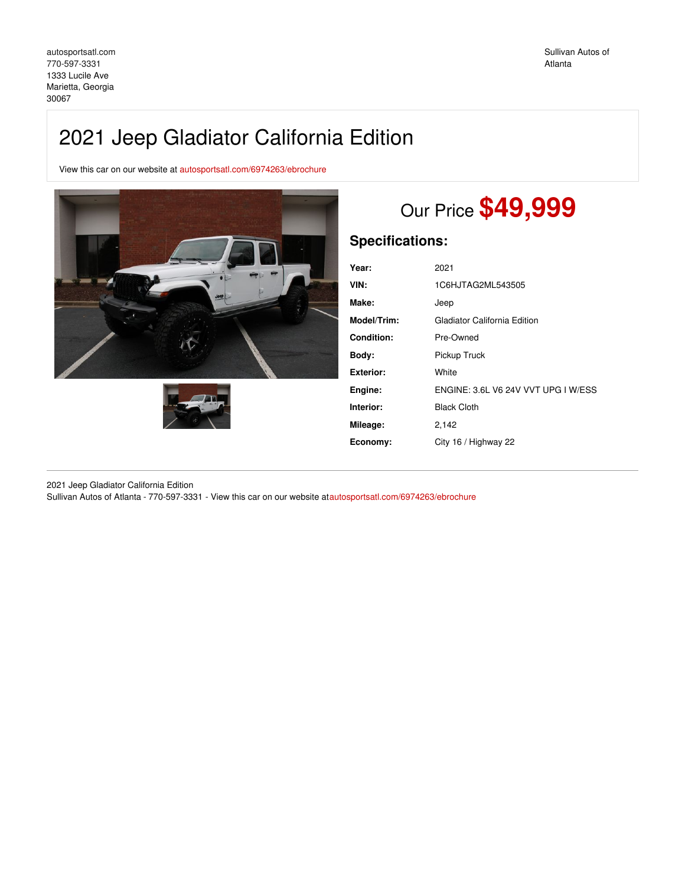# 2021 Jeep Gladiator California Edition

View this car on our website at [autosportsatl.com/6974263/ebrochure](https://autosportsatl.com/vehicle/6974263/2021-jeep-gladiator-california-edition-marietta-georgia-30067/6974263/ebrochure)





# Our Price **\$49,999**

# **Specifications:**

| Year:             | 2021                                |
|-------------------|-------------------------------------|
| VIN:              | 1C6HJTAG2ML543505                   |
| Make:             | Jeep                                |
| Model/Trim:       | Gladiator California Edition        |
| <b>Condition:</b> | Pre-Owned                           |
| Bodv:             | Pickup Truck                        |
| Exterior:         | White                               |
| Engine:           | ENGINE: 3.6L V6 24V VVT UPG I W/ESS |
| Interior:         | <b>Black Cloth</b>                  |
| Mileage:          | 2,142                               |
| Economy:          | City 16 / Highway 22                |
|                   |                                     |

2021 Jeep Gladiator California Edition Sullivan Autos of Atlanta - 770-597-3331 - View this car on our website a[tautosportsatl.com/6974263/ebrochure](https://autosportsatl.com/vehicle/6974263/2021-jeep-gladiator-california-edition-marietta-georgia-30067/6974263/ebrochure)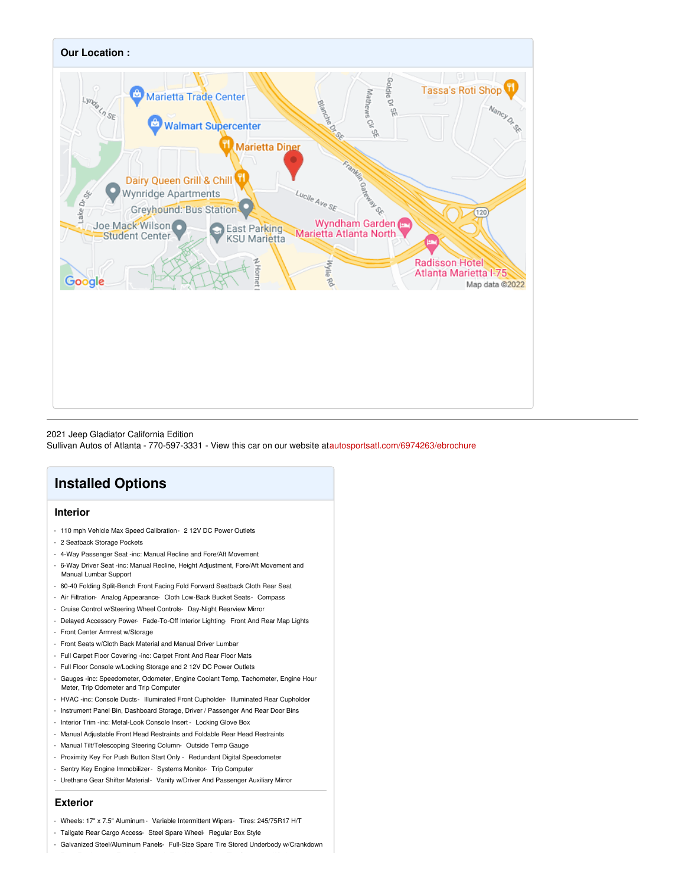

#### 2021 Jeep Gladiator California Edition

Sullivan Autos of Atlanta - 770-597-3331 - View this car on our website a[tautosportsatl.com/6974263/ebrochure](https://autosportsatl.com/vehicle/6974263/2021-jeep-gladiator-california-edition-marietta-georgia-30067/6974263/ebrochure)

# **Installed Options**

## **Interior**

- 110 mph Vehicle Max Speed Calibration- 2 12V DC Power Outlets
- 2 Seatback Storage Pockets
- 4-Way Passenger Seat -inc: Manual Recline and Fore/Aft Movement
- 6-Way Driver Seat -inc: Manual Recline, Height Adjustment, Fore/Aft Movement and Manual Lumbar Support
- 60-40 Folding Split-Bench Front Facing Fold Forward Seatback Cloth Rear Seat
- Air Filtration- Analog Appearance- Cloth Low-Back Bucket Seats- Compass
- Cruise Control w/Steering Wheel Controls- Day-Night Rearview Mirror
- Delayed Accessory Power- Fade-To-Off Interior Lighting- Front And Rear Map Lights
- Front Center Armrest w/Storage
- Front Seats w/Cloth Back Material and Manual Driver Lumbar
- Full Carpet Floor Covering -inc: Carpet Front And Rear Floor Mats
- Full Floor Console w/Locking Storage and 2 12V DC Power Outlets
- Gauges -inc: Speedometer, Odometer, Engine Coolant Temp, Tachometer, Engine Hour Meter, Trip Odometer and Trip Computer
- HVAC -inc: Console Ducts- Illuminated Front Cupholder- Illuminated Rear Cupholder
- Instrument Panel Bin, Dashboard Storage, Driver / Passenger And Rear Door Bins
- Interior Trim -inc: Metal-Look Console Insert Locking Glove Box
- Manual Adjustable Front Head Restraints and Foldable Rear Head Restraints
- Manual Tilt/Telescoping Steering Column- Outside Temp Gauge
- Proximity Key For Push Button Start Only Redundant Digital Speedometer
- Sentry Key Engine Immobilizer- Systems Monitor- Trip Computer
- Urethane Gear Shifter Material- Vanity w/Driver And Passenger Auxiliary Mirror

### **Exterior**

- Wheels: 17" x 7.5" Aluminum Variable Intermittent Wipers- Tires: 245/75R17 H/T
- Tailgate Rear Cargo Access- Steel Spare Wheel- Regular Box Style
- Galvanized Steel/Aluminum Panels- Full-Size Spare Tire Stored Underbody w/Crankdown